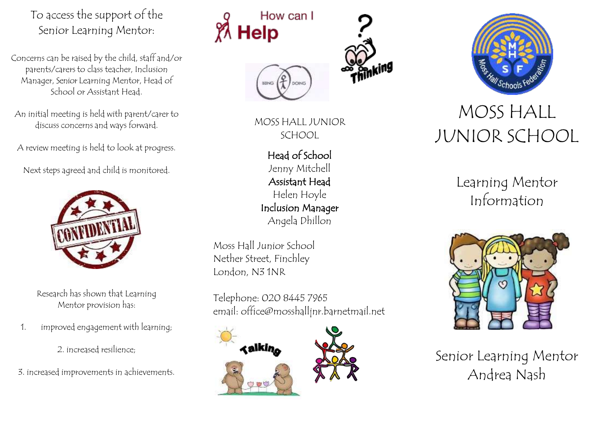To access the support of the Senior Learning Mentor:

Concerns can be raised by the child, staff and/or parents/carers to class teacher, Inclusion Manager, Senior Learning Mentor, Head of School or Assistant Head.

An initial meeting is held with parent/carer to discuss concerns and ways forward.

A review meeting is held to look at progress.

Next steps agreed and child is monitored.



Research has shown that Learning Mentor provision has:

1. improved engagement with learning;

2. increased resilience;

3. increased improvements in achievements.

## How can I **Help**







Head of School Jenny Mitchell Assistant Head Helen Hoyle Inclusion Manager Angela Dhillon

Moss Hall Junior School Nether Street, Finchley London, N3 1NR

Telephone: 020 8445 7965 emai[l: office@mosshalljnr.barnetmail.net](mailto:office@mosshalljnr.barnetmail.net)





## JUNIOR SCHOOL

Learning Mentor Information



Senior Learning Mentor Andrea Nash